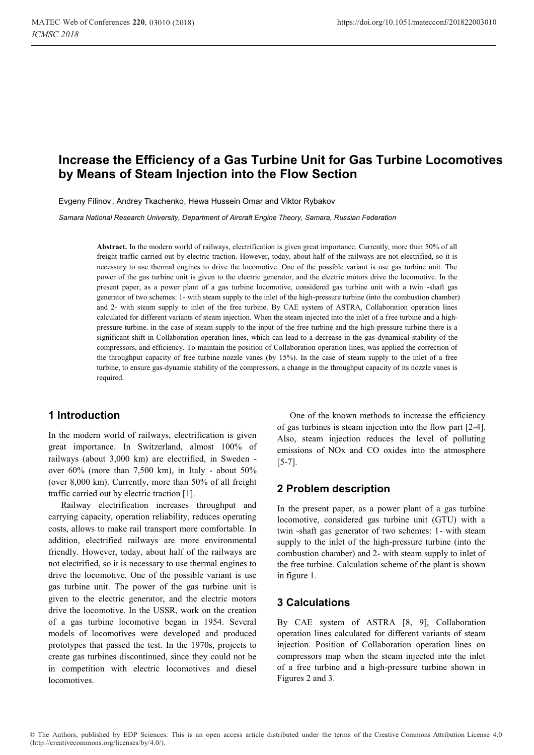# **Increase the Efficiency of a Gas Turbine Unit for Gas Turbine Locomotives by Means of Steam Injection into the Flow Section**

Evgeny Filinov, Andrey Tkachenko, Hewa Hussein Omar and Viktor Rybakov

*Samara National Research University, Department of Aircraft Engine Theory, Samara, Russian Federation* 

**Abstract.** In the modern world of railways, electrification is given great importance. Currently, more than 50% of all freight traffic carried out by electric traction. However, today, about half of the railways are not electrified, so it is necessary to use thermal engines to drive the locomotive. One of the possible variant is use gas turbine unit. The power of the gas turbine unit is given to the electric generator, and the electric motors drive the locomotive. In the present paper, as a power plant of a gas turbine locomotive, considered gas turbine unit with a twin -shaft gas generator of two schemes: 1- with steam supply to the inlet of the high-pressure turbine (into the combustion chamber) and 2- with steam supply to inlet of the free turbine. By CAE system of ASTRA, Collaboration operation lines calculated for different variants of steam injection. When the steam injected into the inlet of a free turbine and a highpressure turbine. in the case of steam supply to the input of the free turbine and the high-pressure turbine there is a significant shift in Collaboration operation lines, which can lead to a decrease in the gas-dynamical stability of the compressors, and efficiency. To maintain the position of Collaboration operation lines, was applied the correction of the throughput capacity of free turbine nozzle vanes (by 15%). In the case of steam supply to the inlet of a free turbine, to ensure gas-dynamic stability of the compressors, a change in the throughput capacity of its nozzle vanes is required.

#### **1 Introduction**

In the modern world of railways, electrification is given great importance. In Switzerland, almost 100% of railways (about 3,000 km) are electrified, in Sweden over 60% (more than 7,500 km), in Italy - about 50% (over 8,000 km). Currently, more than 50% of all freight traffic carried out by electric traction [1].

Railway electrification increases throughput and carrying capacity, operation reliability, reduces operating costs, allows to make rail transport more comfortable. In addition, electrified railways are more environmental friendly. However, today, about half of the railways are not electrified, so it is necessary to use thermal engines to drive the locomotive. One of the possible variant is use gas turbine unit. The power of the gas turbine unit is given to the electric generator, and the electric motors drive the locomotive. In the USSR, work on the creation of a gas turbine locomotive began in 1954. Several models of locomotives were developed and produced prototypes that passed the test. In the 1970s, projects to create gas turbines discontinued, since they could not be in competition with electric locomotives and diesel locomotives.

One of the known methods to increase the efficiency of gas turbines is steam injection into the flow part [2-4]. Also, steam injection reduces the level of polluting emissions of NOx and CO oxides into the atmosphere  $[5-7]$ .

#### **2 Problem description**

In the present paper, as a power plant of a gas turbine locomotive, considered gas turbine unit (GTU) with a twin -shaft gas generator of two schemes: 1- with steam supply to the inlet of the high-pressure turbine (into the combustion chamber) and 2- with steam supply to inlet of the free turbine. Calculation scheme of the plant is shown in figure 1.

### **3 Calculations**

By CAE system of ASTRA [8, 9], Collaboration operation lines calculated for different variants of steam injection. Position of Collaboration operation lines on compressors map when the steam injected into the inlet of a free turbine and a high-pressure turbine shown in Figures 2 and 3.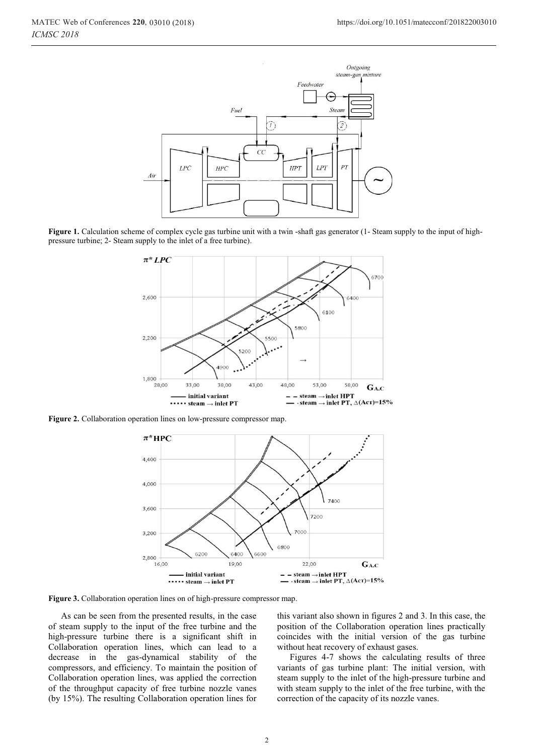

**Figure 1.** Calculation scheme of complex cycle gas turbine unit with a twin -shaft gas generator (1- Steam supply to the input of highpressure turbine; 2- Steam supply to the inlet of a free turbine).



**Figure 2.** Collaboration operation lines on low-pressure compressor map.



**Figure 3.** Collaboration operation lines on of high-pressure compressor map.

As can be seen from the presented results, in the case of steam supply to the input of the free turbine and the high-pressure turbine there is a significant shift in Collaboration operation lines, which can lead to a decrease in the gas-dynamical stability of the compressors, and efficiency. To maintain the position of Collaboration operation lines, was applied the correction of the throughput capacity of free turbine nozzle vanes (by 15%). The resulting Collaboration operation lines for

this variant also shown in figures 2 and 3. In this case, the position of the Collaboration operation lines practically coincides with the initial version of the gas turbine without heat recovery of exhaust gases.

Figures 4-7 shows the calculating results of three variants of gas turbine plant: The initial version, with steam supply to the inlet of the high-pressure turbine and with steam supply to the inlet of the free turbine, with the correction of the capacity of its nozzle vanes.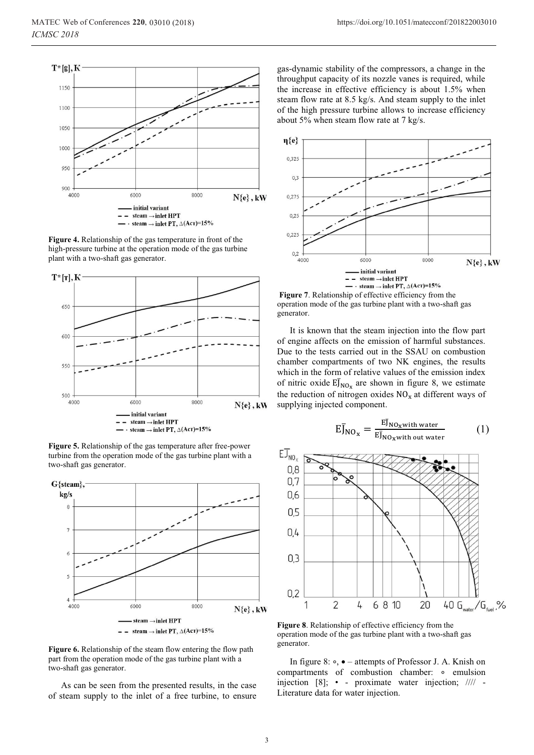

**Figure 4.** Relationship of the gas temperature in front of the high-pressure turbine at the operation mode of the gas turbine plant with a two-shaft gas generator.



**Figure 5.** Relationship of the gas temperature after free-power turbine from the operation mode of the gas turbine plant with a two-shaft gas generator.



**Figure 6.** Relationship of the steam flow entering the flow path part from the operation mode of the gas turbine plant with a two-shaft gas generator.

As can be seen from the presented results, in the case of steam supply to the inlet of a free turbine, to ensure

gas-dynamic stability of the compressors, a change in the throughput capacity of its nozzle vanes is required, while the increase in effective efficiency is about 1.5% when steam flow rate at 8.5 kg/s. And steam supply to the inlet of the high pressure turbine allows to increase efficiency about 5% when steam flow rate at 7 kg/s.



 **Figure 7**. Relationship of effective efficiency from the operation mode of the gas turbine plant with a two-shaft gas generator.

It is known that the steam injection into the flow part of engine affects on the emission of harmful substances. Due to the tests carried out in the SSAU on combustion chamber compartments of two NK engines, the results which in the form of relative values of the emission index of nitric oxide  $E\bar{J}_{NO_x}$  are shown in figure 8, we estimate the reduction of nitrogen oxides  $NO<sub>x</sub>$  at different ways of supplying injected component.

$$
E\overline{J}_{NO_x} = \frac{E\overline{J}_{NO_x with\ water}}{E\overline{J}_{NO_x with\ out\ water}} \tag{1}
$$



**Figure 8**. Relationship of effective efficiency from the operation mode of the gas turbine plant with a two-shaft gas generator.

In figure 8: •, • – attempts of Professor J. A. Knish on compartments of combustion chamber: ∘ emulsion injection [8]; • - proximate water injection; //// - Literature data for water injection.